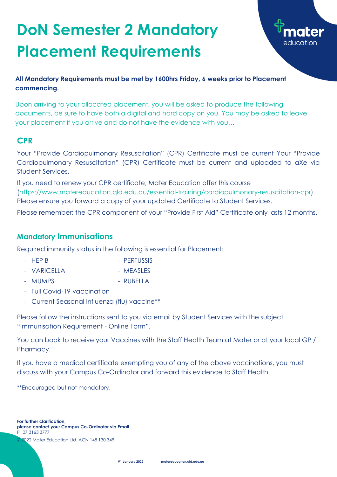### **CPR**

Your "Provide Cardiopulmonary Resuscitation" (CPR) Certificate must be current Your "Provide Cardiopulmonary Resuscitation" (CPR) Certificate must be current and uploaded to aXe via Student Services.

If you need to renew your CPR certificate, Mater Education offer this course [\(https://www.matereducation.qld.edu.au/essential-training/cardiopulmonary-resuscitation-cpr\)](https://www.matereducation.qld.edu.au/essential-training/cardiopulmonary-resuscitation-cpr). Please ensure you forward a copy of your updated Certificate to Student Services.

- HEP B PERTUSSIS
- VARICELLA MEASLES
- 
- MUMPS RUBELLA
- Full Covid-19 vaccination
- Current Seasonal Influenza (flu) vaccine\*\*

Please remember: the CPR component of your "Provide First Aid" Certificate only lasts 12 months.

#### **Mandatory Immunisations**

Required immunity status in the following is essential for Placement:

Please follow the instructions sent to you via email by Student Services with the subject "Immunisation Requirement - Online Form".

You can book to receive your Vaccines with the Staff Health Team at Mater or at your local GP / Pharmacy.

If you have a medical certificate exempting you of any of the above vaccinations, you must discuss with your Campus Co-Ordinator and forward this evidence to Staff Health.

\*\*Encouraged but not mandatory.

# **DoN Semester 2 Mandatory Placement Requirements**



#### **All Mandatory Requirements must be met by 1600hrs Friday, 6 weeks prior to Placement commencing.**

Upon arriving to your allocated placement, you will be asked to produce the following documents, be sure to have both a digital and hard copy on you. You may be asked to leave your placement if you arrive and do not have the evidence with you…

**For further clarification, please contact your Campus Co-Ordinator via Email** P 07 3163 3777

© 2022 Mater Education Ltd. ACN 148 130 349.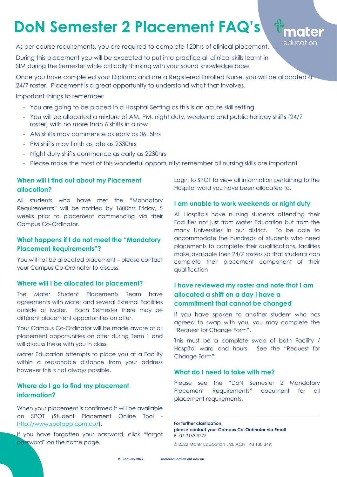**V1 January 2022 [matereducation.qld.edu.au](http://www.matereducation.qld.edu.au/)**

#### **When will I find out about my Placement allocation?**

All students who have met the "Mandatory Requirements" will be notified by 1600hrs Friday, 5 weeks prior to placement commencing via their Campus Co-Ordinator.

#### **What happens if I do not meet the "Mandatory Placement Requirements"?**

You will not be allocated placement – please contact your Campus Co-Ordinator to discuss.

#### **Where will I be allocated for placement?**

The Mater Student Placements Team have agreements with Mater and several External Facilities outside of Mater. Each Semester there may be different placement opportunities on offer.

Your Campus Co-Ordinator will be made aware of all placement opportunities on offer during Term 1 and will discuss these with you in class.

Mater Education attempts to place you at a Facility within a reasonable distance from your address however this is not always possible.

#### **Where do I go to find my placement information?**

When your placement is confirmed it will be available on SPOT (Student Placement Online Tool [http://www.spotapp.com.au/\)](http://www.spotapp.com.au/).

If you have forgotten your password, click "forgot password" on the home page.

Login to SPOT to view all information pertaining to the Hospital ward you have been allocated to.

mater

educatior

#### **I am unable to work weekends or night duty**

All Hospitals have nursing students attending their Facilities not just from Mater Education but from the many Universities in our district. To be able to accommodate the hundreds of students who need placements to complete their qualifications, facilities make available their 24/7 rosters so that students can complete their placement component of their qualification

#### **I have reviewed my roster and note that I am allocated a shift on a day I have a commitment that cannot be changed**

If you have spoken to another student who has agreed to swap with you, you may complete the "Request for Change Form".

This must be a complete swap of both Facility / Hospital ward and hours. See the "Request for Change Form".

#### **What do I need to take with me?**

Please see the "DoN Semester 2 Mandatory Placement Requirements" document for all placement requirements.

As per course requirements, you are required to complete 120hrs of clinical placement.

During this placement you will be expected to put into practice all clinical skills learnt in SIM during the Semester while critically thinking with your sound knowledge base.

Once you have completed your Diploma and are a Registered Enrolled Nurse, you will be allocated a 24/7 roster. Placement is a great opportunity to understand what that involves.

Important things to remember:

- You are going to be placed in a Hospital Setting as this is an acute skill setting
- You will be allocated a mixture of AM, PM, night duty, weekend and public holiday shifts (24/7 roster) with no more than 6 shifts in a row
- AM shifts may commence as early as 0615hrs
- PM shifts may finish as late as 2330hrs
- Night duty shifts commence as early as 2230hrs
- Please make the most of this wonderful opportunity: remember all nursing skills are important

## **DoN Semester 2 Placement FAQ's**

**For further clarification, please contact your Campus Co-Ordinator via Email** P 07 3163 3777

© 2022 Mater Education Ltd. ACN 148 130 349.